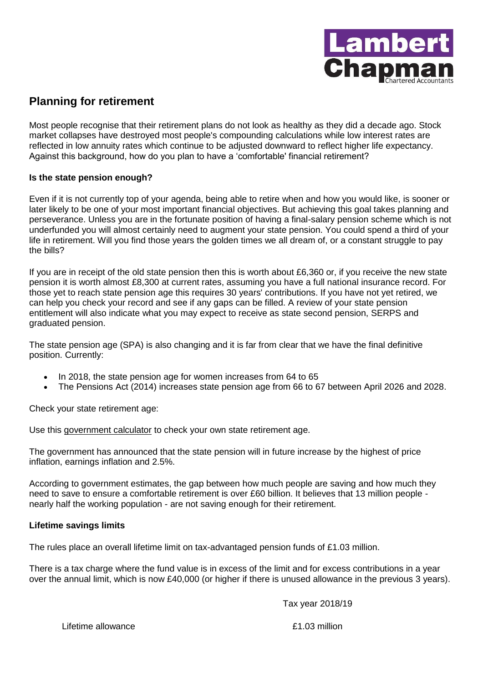

# **Planning for retirement**

Most people recognise that their retirement plans do not look as healthy as they did a decade ago. Stock market collapses have destroyed most people's compounding calculations while low interest rates are reflected in low annuity rates which continue to be adjusted downward to reflect higher life expectancy. Against this background, how do you plan to have a 'comfortable' financial retirement?

## **Is the state pension enough?**

Even if it is not currently top of your agenda, being able to retire when and how you would like, is sooner or later likely to be one of your most important financial objectives. But achieving this goal takes planning and perseverance. Unless you are in the fortunate position of having a final-salary pension scheme which is not underfunded you will almost certainly need to augment your state pension. You could spend a third of your life in retirement. Will you find those years the golden times we all dream of, or a constant struggle to pay the bills?

If you are in receipt of the old state pension then this is worth about £6,360 or, if you receive the new state pension it is worth almost £8,300 at current rates, assuming you have a full national insurance record. For those yet to reach state pension age this requires 30 years' contributions. If you have not yet retired, we can help you check your record and see if any gaps can be filled. A review of your state pension entitlement will also indicate what you may expect to receive as state second pension, SERPS and graduated pension.

The state pension age (SPA) is also changing and it is far from clear that we have the final definitive position. Currently:

- In 2018, the state pension age for women increases from 64 to 65
- The Pensions Act (2014) increases state pension age from 66 to 67 between April 2026 and 2028.

Check your state retirement age:

Use this [government calculator](https://www.gov.uk/calculate-state-pension) to check your own state retirement age.

The government has announced that the state pension will in future increase by the highest of price inflation, earnings inflation and 2.5%.

According to government estimates, the gap between how much people are saving and how much they need to save to ensure a comfortable retirement is over £60 billion. It believes that 13 million people nearly half the working population - are not saving enough for their retirement.

## **Lifetime savings limits**

The rules place an overall lifetime limit on tax-advantaged pension funds of £1.03 million.

There is a tax charge where the fund value is in excess of the limit and for excess contributions in a year over the annual limit, which is now £40,000 (or higher if there is unused allowance in the previous 3 years).

Tax year 2018/19

Lifetime allowance **E1.03 million**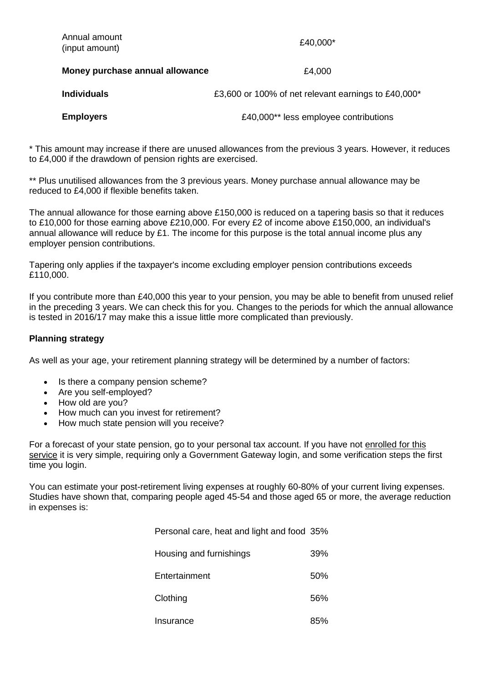| Annual amount<br>(input amount) | £40,000*                                            |
|---------------------------------|-----------------------------------------------------|
| Money purchase annual allowance | £4,000                                              |
| <b>Individuals</b>              | £3,600 or 100% of net relevant earnings to £40,000* |
| <b>Employers</b>                | £40,000** less employee contributions               |

\* This amount may increase if there are unused allowances from the previous 3 years. However, it reduces to £4,000 if the drawdown of pension rights are exercised.

\*\* Plus unutilised allowances from the 3 previous years. Money purchase annual allowance may be reduced to £4,000 if flexible benefits taken.

The annual allowance for those earning above £150,000 is reduced on a tapering basis so that it reduces to £10,000 for those earning above £210,000. For every £2 of income above £150,000, an individual's annual allowance will reduce by £1. The income for this purpose is the total annual income plus any employer pension contributions.

Tapering only applies if the taxpayer's income excluding employer pension contributions exceeds £110,000.

If you contribute more than £40,000 this year to your pension, you may be able to benefit from unused relief in the preceding 3 years. We can check this for you. Changes to the periods for which the annual allowance is tested in 2016/17 may make this a issue little more complicated than previously.

#### **Planning strategy**

As well as your age, your retirement planning strategy will be determined by a number of factors:

- Is there a company pension scheme?
- Are you self-employed?
- How old are you?
- How much can you invest for retirement?
- How much state pension will you receive?

For a forecast of your state pension, go to your personal tax account. If you have not [enrolled for this](https://www.gov.uk/log-in-register-hmrc-online-services)  [service](https://www.gov.uk/log-in-register-hmrc-online-services) it is very simple, requiring only a Government Gateway login, and some verification steps the first time you login.

You can estimate your post-retirement living expenses at roughly 60-80% of your current living expenses. Studies have shown that, comparing people aged 45-54 and those aged 65 or more, the average reduction in expenses is:

Personal care, heat and light and food 35%

| Housing and furnishings | 39% |
|-------------------------|-----|
| Entertainment           | 50% |
| Clothing                | 56% |
| Insurance               | 85% |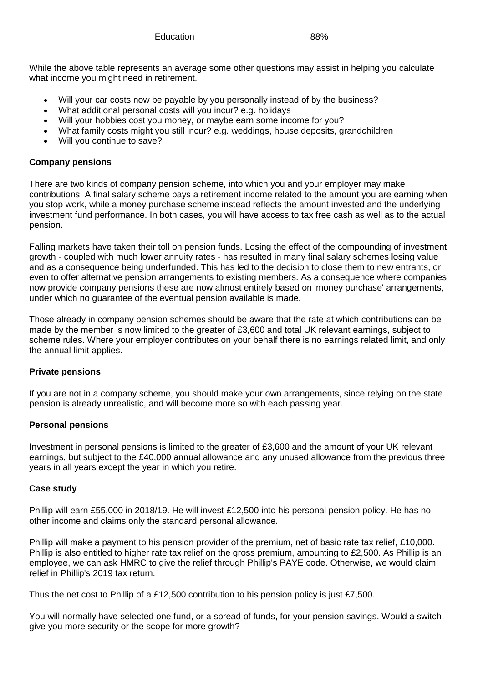While the above table represents an average some other questions may assist in helping you calculate what income you might need in retirement.

- Will your car costs now be payable by you personally instead of by the business?
- What additional personal costs will you incur? e.g. holidays
- Will your hobbies cost you money, or maybe earn some income for you?
- What family costs might you still incur? e.g. weddings, house deposits, grandchildren
- Will you continue to save?

#### **Company pensions**

There are two kinds of company pension scheme, into which you and your employer may make contributions. A final salary scheme pays a retirement income related to the amount you are earning when you stop work, while a money purchase scheme instead reflects the amount invested and the underlying investment fund performance. In both cases, you will have access to tax free cash as well as to the actual pension.

Falling markets have taken their toll on pension funds. Losing the effect of the compounding of investment growth - coupled with much lower annuity rates - has resulted in many final salary schemes losing value and as a consequence being underfunded. This has led to the decision to close them to new entrants, or even to offer alternative pension arrangements to existing members. As a consequence where companies now provide company pensions these are now almost entirely based on 'money purchase' arrangements, under which no guarantee of the eventual pension available is made.

Those already in company pension schemes should be aware that the rate at which contributions can be made by the member is now limited to the greater of £3,600 and total UK relevant earnings, subject to scheme rules. Where your employer contributes on your behalf there is no earnings related limit, and only the annual limit applies.

## **Private pensions**

If you are not in a company scheme, you should make your own arrangements, since relying on the state pension is already unrealistic, and will become more so with each passing year.

#### **Personal pensions**

Investment in personal pensions is limited to the greater of £3,600 and the amount of your UK relevant earnings, but subject to the £40,000 annual allowance and any unused allowance from the previous three years in all years except the year in which you retire.

#### **Case study**

Phillip will earn £55,000 in 2018/19. He will invest £12,500 into his personal pension policy. He has no other income and claims only the standard personal allowance.

Phillip will make a payment to his pension provider of the premium, net of basic rate tax relief, £10,000. Phillip is also entitled to higher rate tax relief on the gross premium, amounting to £2,500. As Phillip is an employee, we can ask HMRC to give the relief through Phillip's PAYE code. Otherwise, we would claim relief in Phillip's 2019 tax return.

Thus the net cost to Phillip of a £12,500 contribution to his pension policy is just £7,500.

You will normally have selected one fund, or a spread of funds, for your pension savings. Would a switch give you more security or the scope for more growth?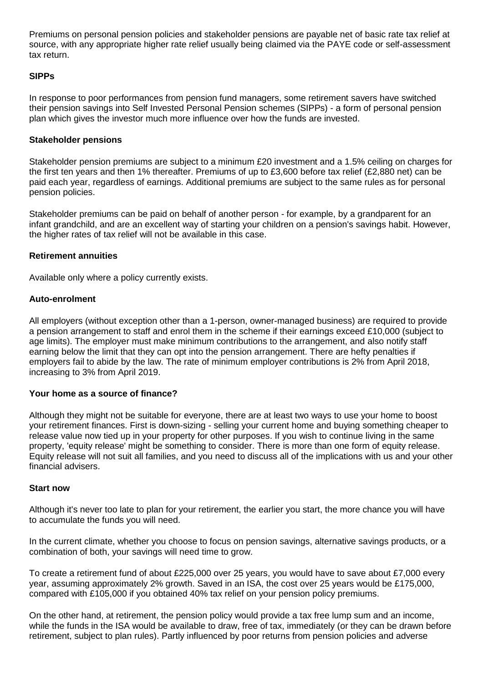Premiums on personal pension policies and stakeholder pensions are payable net of basic rate tax relief at source, with any appropriate higher rate relief usually being claimed via the PAYE code or self-assessment tax return.

## **SIPPs**

In response to poor performances from pension fund managers, some retirement savers have switched their pension savings into Self Invested Personal Pension schemes (SIPPs) - a form of personal pension plan which gives the investor much more influence over how the funds are invested.

## **Stakeholder pensions**

Stakeholder pension premiums are subject to a minimum £20 investment and a 1.5% ceiling on charges for the first ten years and then 1% thereafter. Premiums of up to £3,600 before tax relief (£2,880 net) can be paid each year, regardless of earnings. Additional premiums are subject to the same rules as for personal pension policies.

Stakeholder premiums can be paid on behalf of another person - for example, by a grandparent for an infant grandchild, and are an excellent way of starting your children on a pension's savings habit. However, the higher rates of tax relief will not be available in this case.

#### **Retirement annuities**

Available only where a policy currently exists.

## **Auto-enrolment**

All employers (without exception other than a 1-person, owner-managed business) are required to provide a pension arrangement to staff and enrol them in the scheme if their earnings exceed £10,000 (subject to age limits). The employer must make minimum contributions to the arrangement, and also notify staff earning below the limit that they can opt into the pension arrangement. There are hefty penalties if employers fail to abide by the law. The rate of minimum employer contributions is 2% from April 2018, increasing to 3% from April 2019.

## **Your home as a source of finance?**

Although they might not be suitable for everyone, there are at least two ways to use your home to boost your retirement finances. First is down-sizing - selling your current home and buying something cheaper to release value now tied up in your property for other purposes. If you wish to continue living in the same property, 'equity release' might be something to consider. There is more than one form of equity release. Equity release will not suit all families, and you need to discuss all of the implications with us and your other financial advisers.

#### **Start now**

Although it's never too late to plan for your retirement, the earlier you start, the more chance you will have to accumulate the funds you will need.

In the current climate, whether you choose to focus on pension savings, alternative savings products, or a combination of both, your savings will need time to grow.

To create a retirement fund of about £225,000 over 25 years, you would have to save about £7,000 every year, assuming approximately 2% growth. Saved in an ISA, the cost over 25 years would be £175,000, compared with £105,000 if you obtained 40% tax relief on your pension policy premiums.

On the other hand, at retirement, the pension policy would provide a tax free lump sum and an income, while the funds in the ISA would be available to draw, free of tax, immediately (or they can be drawn before retirement, subject to plan rules). Partly influenced by poor returns from pension policies and adverse